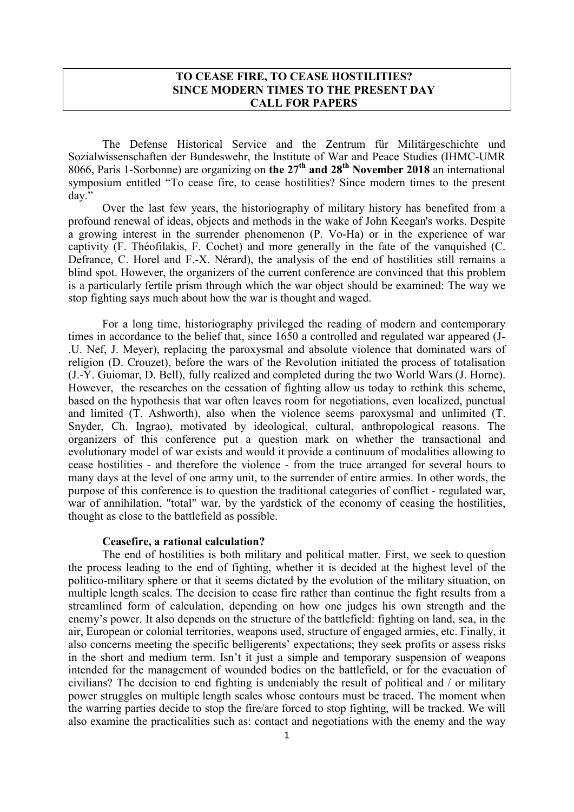## TO CEASE FIRE, TO CEASE HOSTILITIES? SINCE MODERN TIMES TO THE PRESENT DAY CALL FOR PAPERS

The Defense Historical Service and the Zentrum für Militärgeschichte und Sozialwissenschaften der Bundeswehr, the Institute of War and Peace Studies (IHMC-UMR 8066, Paris 1-Sorbonne) are organizing on the  $27<sup>th</sup>$  and  $28<sup>th</sup>$  November 2018 an international symposium entitled "To cease fire, to cease hostilities? Since modern times to the present day."

Over the last few years, the historiography of military history has benefited from a profound renewal of ideas, objects and methods in the wake of John Keegan's works. Despite a growing interest in the surrender phenomenon (P. Vo-Ha) or in the experience of war captivity (F. Théofilakis, F. Cochet) and more generally in the fate of the vanquished (C. Defrance, C. Horel and F.-X. Nérard), the analysis of the end of hostilities still remains a blind spot. However, the organizers of the current conference are convinced that this problem is a particularly fertile prism through which the war object should be examined: The way we stop fighting says much about how the war is thought and waged.

For a long time, historiography privileged the reading of modern and contemporary times in accordance to the belief that, since 1650 a controlled and regulated war appeared (J- .U. Nef, J. Meyer), replacing the paroxysmal and absolute violence that dominated wars of religion (D. Crouzet), before the wars of the Revolution initiated the process of totalisation (J.-Y. Guiomar, D. Bell), fully realized and completed during the two World Wars (J. Horne). However, the researches on the cessation of fighting allow us today to rethink this scheme, based on the hypothesis that war often leaves room for negotiations, even localized, punctual and limited (T. Ashworth), also when the violence seems paroxysmal and unlimited (T. Snyder, Ch. Ingrao), motivated by ideological, cultural, anthropological reasons. The organizers of this conference put a question mark on whether the transactional and evolutionary model of war exists and would it provide a continuum of modalities allowing to cease hostilities - and therefore the violence - from the truce arranged for several hours to many days at the level of one army unit, to the surrender of entire armies. In other words, the purpose of this conference is to question the traditional categories of conflict - regulated war, war of annihilation, "total" war, by the yardstick of the economy of ceasing the hostilities, thought as close to the battlefield as possible.

### Ceasefire, a rational calculation?

The end of hostilities is both military and political matter. First, we seek to question the process leading to the end of fighting, whether it is decided at the highest level of the politico-military sphere or that it seems dictated by the evolution of the military situation, on multiple length scales. The decision to cease fire rather than continue the fight results from a streamlined form of calculation, depending on how one judges his own strength and the enemy's power. It also depends on the structure of the battlefield: fighting on land, sea, in the air, European or colonial territories, weapons used, structure of engaged armies, etc. Finally, it also concerns meeting the specific belligerents' expectations; they seek profits or assess risks in the short and medium term. Isn't it just a simple and temporary suspension of weapons intended for the management of wounded bodies on the battlefield, or for the evacuation of civilians? The decision to end fighting is undeniably the result of political and / or military power struggles on multiple length scales whose contours must be traced. The moment when the warring parties decide to stop the fire/are forced to stop fighting, will be tracked. We will also examine the practicalities such as: contact and negotiations with the enemy and the way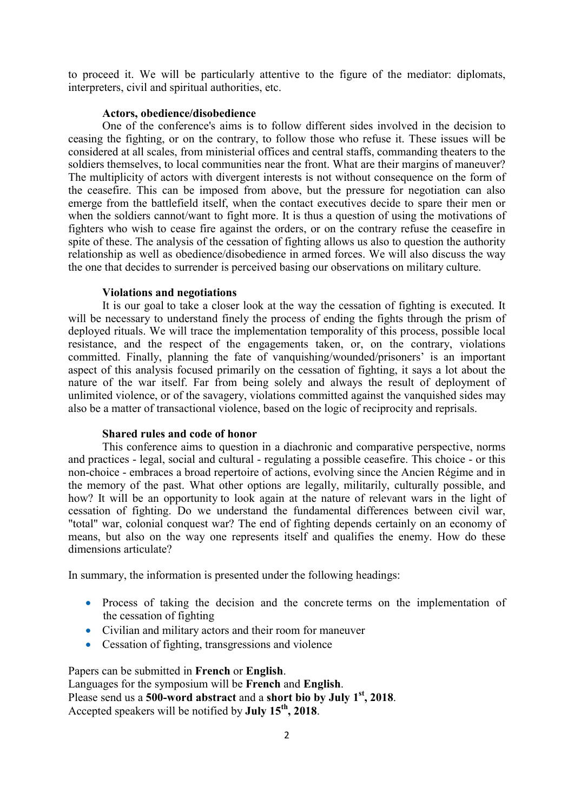to proceed it. We will be particularly attentive to the figure of the mediator: diplomats, interpreters, civil and spiritual authorities, etc.

### Actors, obedience/disobedience

One of the conference's aims is to follow different sides involved in the decision to ceasing the fighting, or on the contrary, to follow those who refuse it. These issues will be considered at all scales, from ministerial offices and central staffs, commanding theaters to the soldiers themselves, to local communities near the front. What are their margins of maneuver? The multiplicity of actors with divergent interests is not without consequence on the form of the ceasefire. This can be imposed from above, but the pressure for negotiation can also emerge from the battlefield itself, when the contact executives decide to spare their men or when the soldiers cannot/want to fight more. It is thus a question of using the motivations of fighters who wish to cease fire against the orders, or on the contrary refuse the ceasefire in spite of these. The analysis of the cessation of fighting allows us also to question the authority relationship as well as obedience/disobedience in armed forces. We will also discuss the way the one that decides to surrender is perceived basing our observations on military culture.

#### Violations and negotiations

It is our goal to take a closer look at the way the cessation of fighting is executed. It will be necessary to understand finely the process of ending the fights through the prism of deployed rituals. We will trace the implementation temporality of this process, possible local resistance, and the respect of the engagements taken, or, on the contrary, violations committed. Finally, planning the fate of vanquishing/wounded/prisoners' is an important aspect of this analysis focused primarily on the cessation of fighting, it says a lot about the nature of the war itself. Far from being solely and always the result of deployment of unlimited violence, or of the savagery, violations committed against the vanquished sides may also be a matter of transactional violence, based on the logic of reciprocity and reprisals.

## Shared rules and code of honor

This conference aims to question in a diachronic and comparative perspective, norms and practices - legal, social and cultural - regulating a possible ceasefire. This choice - or this non-choice - embraces a broad repertoire of actions, evolving since the Ancien Régime and in the memory of the past. What other options are legally, militarily, culturally possible, and how? It will be an opportunity to look again at the nature of relevant wars in the light of cessation of fighting. Do we understand the fundamental differences between civil war, "total" war, colonial conquest war? The end of fighting depends certainly on an economy of means, but also on the way one represents itself and qualifies the enemy. How do these dimensions articulate?

In summary, the information is presented under the following headings:

- Process of taking the decision and the concrete terms on the implementation of the cessation of fighting
- Civilian and military actors and their room for maneuver
- Cessation of fighting, transgressions and violence

Papers can be submitted in French or English. Languages for the symposium will be French and English. Please send us a  $500$ -word abstract and a short bio by July  $1<sup>st</sup>$ , 2018. Accepted speakers will be notified by **July 15<sup>th</sup>**, 2018.